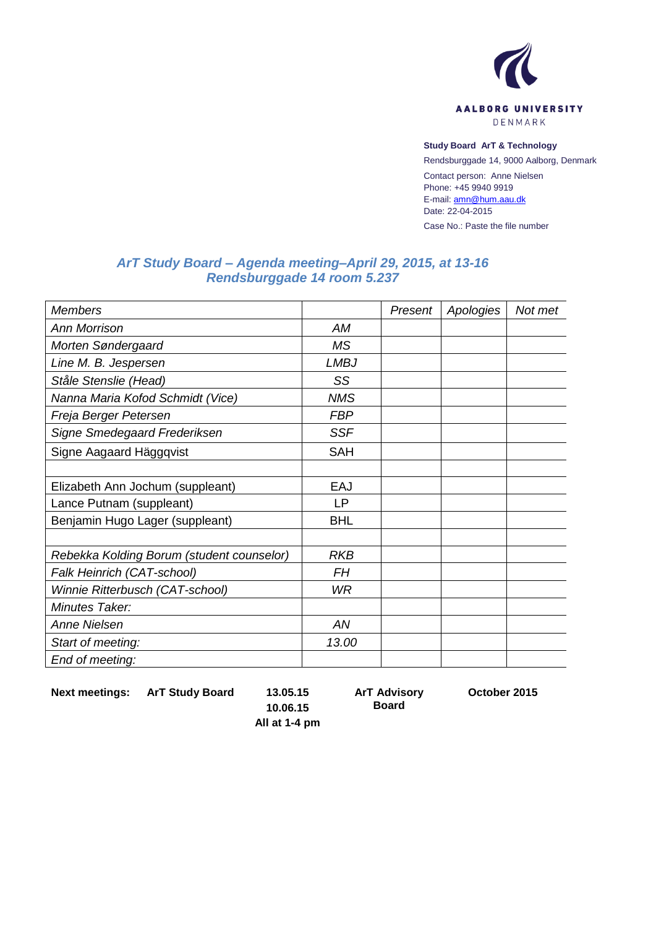

## **Study Board ArT & Technology**

Rendsburggade 14, 9000 Aalborg, Denmark

Contact person: Anne Nielsen Phone: +45 9940 9919 E-mail[: amn@hum.aau.dk](mailto:amn@hum.aau.dk) Date: 22-04-2015

Case No.: Paste the file number

## *ArT Study Board – Agenda meeting–April 29, 2015, at 13-16 Rendsburggade 14 room 5.237*

| <b>Members</b>                            |             | Present | Apologies | Not met |
|-------------------------------------------|-------------|---------|-----------|---------|
| <b>Ann Morrison</b>                       | AM          |         |           |         |
| Morten Søndergaard                        | <b>MS</b>   |         |           |         |
| Line M. B. Jespersen                      | <b>LMBJ</b> |         |           |         |
| Ståle Stenslie (Head)                     | SS          |         |           |         |
| Nanna Maria Kofod Schmidt (Vice)          | <b>NMS</b>  |         |           |         |
| Freja Berger Petersen                     | <b>FBP</b>  |         |           |         |
| Signe Smedegaard Frederiksen              | <b>SSF</b>  |         |           |         |
| Signe Aagaard Häggqvist                   | <b>SAH</b>  |         |           |         |
|                                           |             |         |           |         |
| Elizabeth Ann Jochum (suppleant)          | EAJ         |         |           |         |
| Lance Putnam (suppleant)                  | <b>LP</b>   |         |           |         |
| Benjamin Hugo Lager (suppleant)           | <b>BHL</b>  |         |           |         |
|                                           |             |         |           |         |
| Rebekka Kolding Borum (student counselor) | <b>RKB</b>  |         |           |         |
| Falk Heinrich (CAT-school)                | <b>FH</b>   |         |           |         |
| Winnie Ritterbusch (CAT-school)           | WR          |         |           |         |
| Minutes Taker:                            |             |         |           |         |
| <b>Anne Nielsen</b>                       | AN          |         |           |         |
| Start of meeting:                         | 13.00       |         |           |         |
| End of meeting:                           |             |         |           |         |

**Next meetings: ArT Study Board 13.05.15**

**ArT Advisory** 

**Board**

**October 2015**

**10.06.15 All at 1-4 pm**